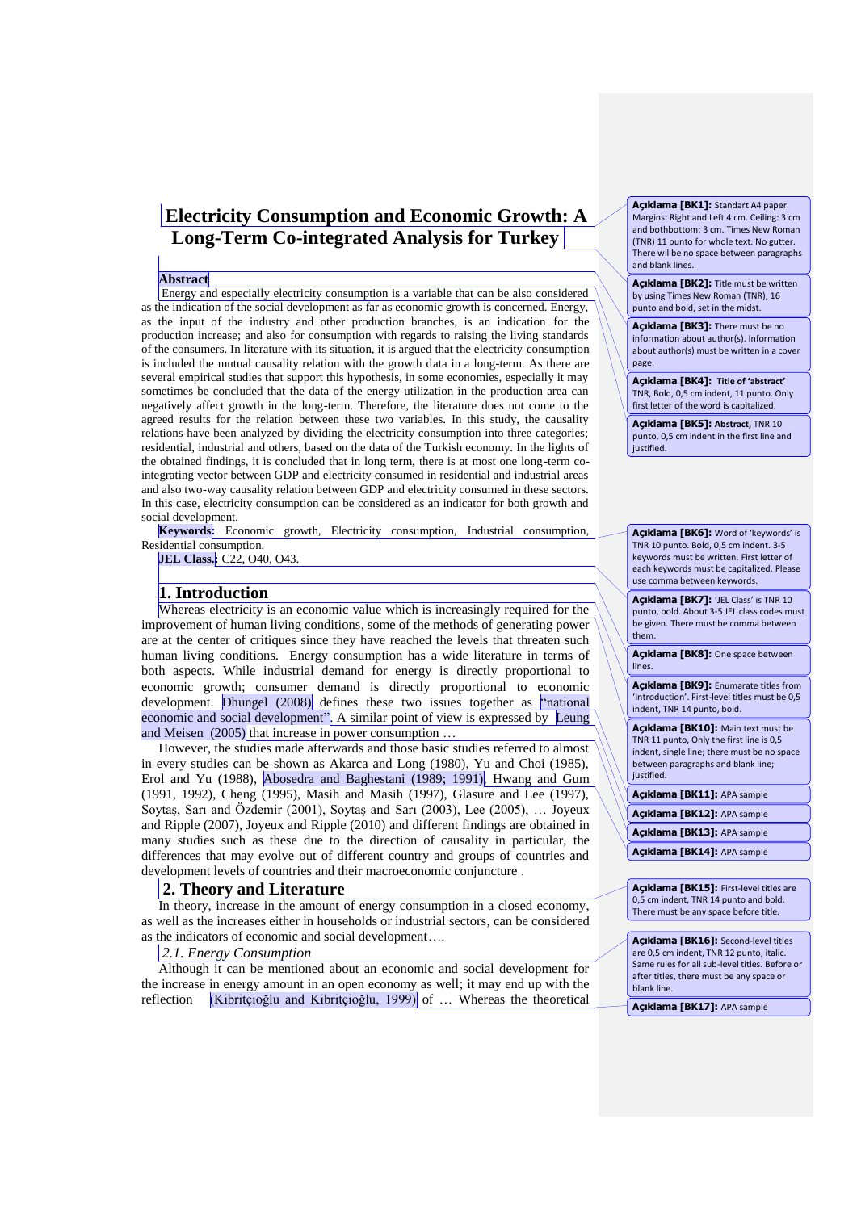# **Electricity Consumption and Economic Growth: A Long-Term Co-integrated Analysis for Turkey**

#### **Abstract**

Energy and especially electricity consumption is a variable that can be also considered as the indication of the social development as far as economic growth is concerned. Energy, as the input of the industry and other production branches, is an indication for the production increase; and also for consumption with regards to raising the living standards of the consumers. In literature with its situation, it is argued that the electricity consumption is included the mutual causality relation with the growth data in a long-term. As there are several empirical studies that support this hypothesis, in some economies, especially it may sometimes be concluded that the data of the energy utilization in the production area can negatively affect growth in the long-term. Therefore, the literature does not come to the agreed results for the relation between these two variables. In this study, the causality relations have been analyzed by dividing the electricity consumption into three categories; residential, industrial and others, based on the data of the Turkish economy. In the lights of the obtained findings, it is concluded that in long term, there is at most one long-term cointegrating vector between GDP and electricity consumed in residential and industrial areas and also two-way causality relation between GDP and electricity consumed in these sectors. In this case, electricity consumption can be considered as an indicator for both growth and social development.

**Keywords:** Economic growth, Electricity consumption, Industrial consumption, Residential consumption.

**JEL Class.:** C22, O40, O43.

# **1. Introduction**

Whereas electricity is an economic value which is increasingly required for the improvement of human living conditions, some of the methods of generating power are at the center of critiques since they have reached the levels that threaten such human living conditions. Energy consumption has a wide literature in terms of both aspects. While industrial demand for energy is directly proportional to economic growth; consumer demand is directly proportional to economic development. Dhungel (2008) defines these two issues together as "national economic and social development". A similar point of view is expressed by Leung and Meisen (2005) that increase in power consumption ...

However, the studies made afterwards and those basic studies referred to almost in every studies can be shown as Akarca and Long (1980), Yu and Choi (1985), Erol and Yu (1988), Abosedra and Baghestani (1989; 1991), Hwang and Gum (1991, 1992), Cheng (1995), Masih and Masih (1997), Glasure and Lee (1997), Soytaş, Sarı and Özdemir (2001), Soytaş and Sarı (2003), Lee (2005), … Joyeux and Ripple (2007), Joyeux and Ripple (2010) and different findings are obtained in many studies such as these due to the direction of causality in particular, the differences that may evolve out of different country and groups of countries and development levels of countries and their macroeconomic conjuncture .

#### **2. Theory and Literature**

In theory, increase in the amount of energy consumption in a closed economy, as well as the increases either in households or industrial sectors, can be considered as the indicators of economic and social development….

## *2.1. Energy Consumption*

Although it can be mentioned about an economic and social development for the increase in energy amount in an open economy as well; it may end up with the reflection (Kibritçioğlu and Kibritçioğlu, 1999) of … Whereas the theoretical **Açıklama [BK1]:** Standart A4 paper. Margins: Right and Left 4 cm. Ceiling: 3 cm and bothbottom: 3 cm. Times New Roman (TNR) 11 punto for whole text. No gutter. There wil be no space between paragraphs and blank lines.

**Açıklama [BK2]:** Title must be written by using Times New Roman (TNR), 16 punto and bold, set in the midst.

**Açıklama [BK3]:** There must be no information about author(s). Information about author(s) must be written in a cover page.

**Açıklama [BK4]: Title of 'abstract'** TNR, Bold, 0,5 cm indent, 11 punto. Only first letter of the word is capitalized.

**Açıklama [BK5]: Abstract,** TNR 10 punto, 0,5 cm indent in the first line and iustified.

**Açıklama [BK6]:** Word of 'keywords' is TNR 10 punto. Bold, 0,5 cm indent. 3-5 keywords must be written. First letter of each keywords must be capitalized. Please use comma between keywords.

**Açıklama [BK7]:** 'JEL Class' is TNR 10 punto, bold. About 3-5 JEL class codes must be given. There must be comma between them.

**Açıklama [BK8]:** One space between lines.

**Açıklama [BK9]:** Enumarate titles from 'Introduction'. First-level titles must be 0,5 indent, TNR 14 punto, bold.

**Açıklama [BK10]:** Main text must be TNR 11 punto, Only the first line is 0,5 indent, single line; there must be no space between paragraphs and blank line; justified.

**Açıklama [BK11]:** APA sample

**Açıklama [BK12]:** APA sample

**Açıklama [BK13]:** APA sample

**Açıklama [BK14]:** APA sample

**Açıklama [BK15]:** First-level titles are 0,5 cm indent, TNR 14 punto and bold. There must be any space before title.

**Açıklama [BK16]:** Second-level titles are 0,5 cm indent, TNR 12 punto, italic. Same rules for all sub-level titles. Before or after titles, there must be any space or blank line.

**Açıklama [BK17]:** APA sample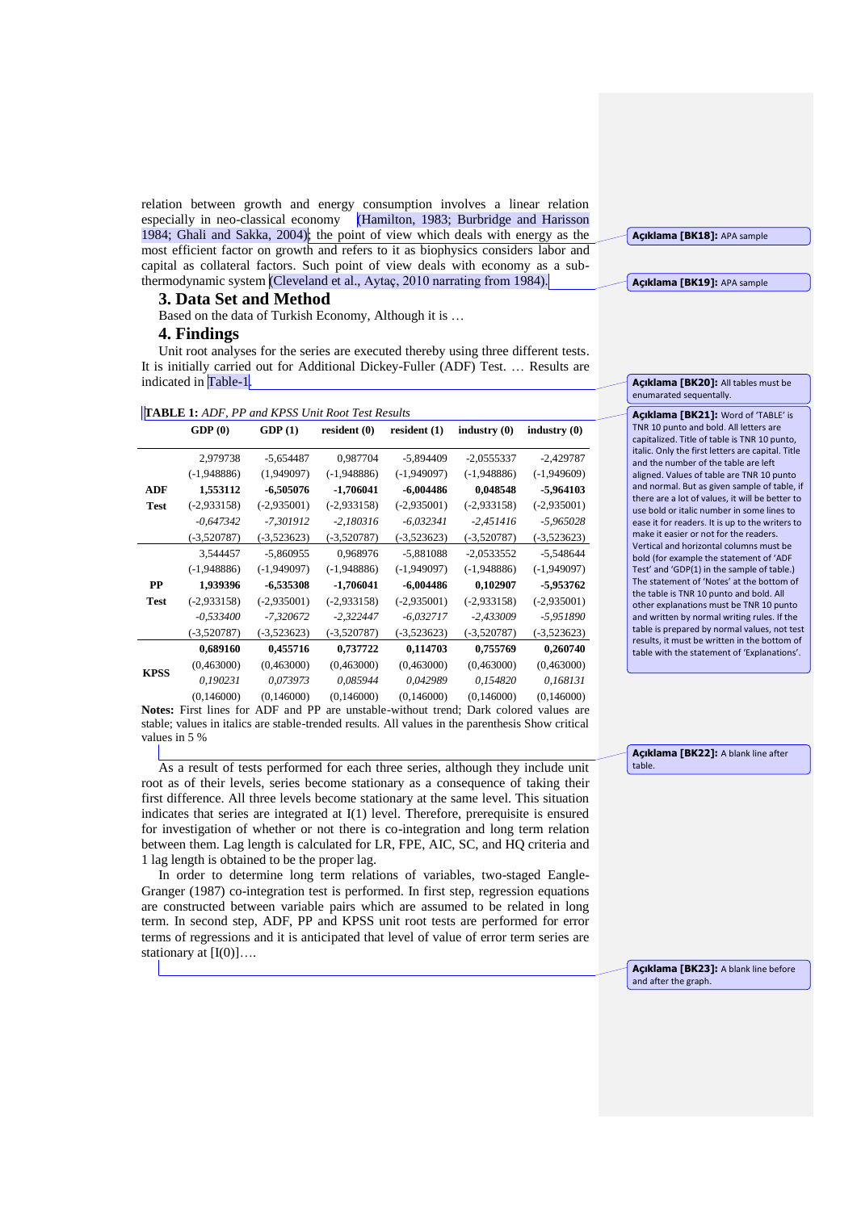relation between growth and energy consumption involves a linear relation especially in neo-classical economy (Hamilton, 1983; Burbridge and Harisson 1984; Ghali and Sakka, 2004); the point of view which deals with energy as the most efficient factor on growth and refers to it as biophysics considers labor and capital as collateral factors. Such point of view deals with economy as a subthermodynamic system (Cleveland et al., Aytaç, 2010 narrating from 1984).

**3. Data Set and Method**

Based on the data of Turkish Economy, Although it is …

#### **4. Findings**

Unit root analyses for the series are executed thereby using three different tests. It is initially carried out for Additional Dickey-Fuller (ADF) Test. … Results are indicated in Table-1.

| <b>TABLE 1: ADF, PP and KPSS Unit Root Test Results</b> |  |
|---------------------------------------------------------|--|
|---------------------------------------------------------|--|

|             | GDP(0)        | GDP(1)        | resident(0)   | resident $(1)$ | industry $(0)$ | industry(0)   |
|-------------|---------------|---------------|---------------|----------------|----------------|---------------|
|             | 2,979738      | $-5,654487$   | 0.987704      | $-5,894409$    | $-2,0555337$   | $-2,429787$   |
|             | $(-1,948886)$ | (1,949097)    | $(-1,948886)$ | $(-1,949097)$  | $(-1,948886)$  | $(-1,949609)$ |
| <b>ADF</b>  | 1,553112      | $-6,505076$   | $-1,706041$   | $-6,004486$    | 0,048548       | -5,964103     |
| Test        | $(-2,933158)$ | $(-2,935001)$ | $(-2,933158)$ | $(-2,935001)$  | $(-2,933158)$  | $(-2,935001)$ |
|             | $-0,647342$   | -7,301912     | $-2,180316$   | $-6,032341$    | $-2,451416$    | $-5,965028$   |
|             | $(-3,520787)$ | $(-3,523623)$ | $(-3,520787)$ | $(-3,523623)$  | $(-3,520787)$  | $(-3,523623)$ |
|             | 3,544457      | $-5,860955$   | 0,968976      | $-5,881088$    | $-2,0533552$   | $-5,548644$   |
|             | $(-1,948886)$ | $(-1,949097)$ | $(-1,948886)$ | $(-1,949097)$  | $(-1,948886)$  | $(-1,949097)$ |
| PP          | 1,939396      | $-6,535308$   | $-1,706041$   | $-6,004486$    | 0,102907       | -5,953762     |
| Test        | $(-2,933158)$ | $(-2,935001)$ | $(-2,933158)$ | $(-2,935001)$  | $(-2,933158)$  | $(-2,935001)$ |
|             | $-0,533400$   | $-7,320672$   | $-2,322447$   | $-6,032717$    | $-2,433009$    | $-5,951890$   |
|             | $(-3,520787)$ | $(-3,523623)$ | $(-3,520787)$ | $(-3,523623)$  | $(-3,520787)$  | $(-3,523623)$ |
| <b>KPSS</b> | 0,689160      | 0,455716      | 0,737722      | 0,114703       | 0,755769       | 0,260740      |
|             | (0,463000)    | (0,463000)    | (0,463000)    | (0,463000)     | (0,463000)     | (0,463000)    |
|             | 0,190231      | 0,073973      | 0,085944      | 0,042989       | 0,154820       | 0,168131      |
|             | (0,146000)    | (0,146000)    | (0,146000)    | (0,146000)     | (0,146000)     | (0,146000)    |

**Notes:** First lines for ADF and PP are unstable-without trend; Dark colored values are stable; values in italics are stable-trended results. All values in the parenthesis Show critical values in 5 %

As a result of tests performed for each three series, although they include unit root as of their levels, series become stationary as a consequence of taking their first difference. All three levels become stationary at the same level. This situation indicates that series are integrated at I(1) level. Therefore, prerequisite is ensured for investigation of whether or not there is co-integration and long term relation between them. Lag length is calculated for LR, FPE, AIC, SC, and HQ criteria and 1 lag length is obtained to be the proper lag.

In order to determine long term relations of variables, two-staged Eangle-Granger (1987) co-integration test is performed. In first step, regression equations are constructed between variable pairs which are assumed to be related in long term. In second step, ADF, PP and KPSS unit root tests are performed for error terms of regressions and it is anticipated that level of value of error term series are stationary at  $[I(0)]...$ 

**Açıklama [BK18]:** APA sample

**Açıklama [BK19]:** APA sample

**Açıklama [BK20]:** All tables must be enumarated sequentally.

**Açıklama [BK21]:** Word of 'TABLE' is TNR 10 punto and bold. All letters are capitalized. Title of table is TNR 10 punto, italic. Only the first letters are capital. Title and the number of the table are left aligned. Values of table are TNR 10 punto and normal. But as given sample of table, if there are a lot of values, it will be better to use bold or italic number in some lines to ease it for readers. It is up to the writers to make it easier or not for the readers. Vertical and horizontal columns must be bold (for example the statement of 'ADF Test' and 'GDP(1) in the sample of table.) The statement of 'Notes' at the bottom of the table is TNR 10 punto and bold. All other explanations must be TNR 10 punto and written by normal writing rules. If the table is prepared by normal values, not test results, it must be written in the bottom of table with the statement of 'Explanations'.

**Açıklama [BK22]:** A blank line after table.

**Açıklama [BK23]:** A blank line before and after the graph.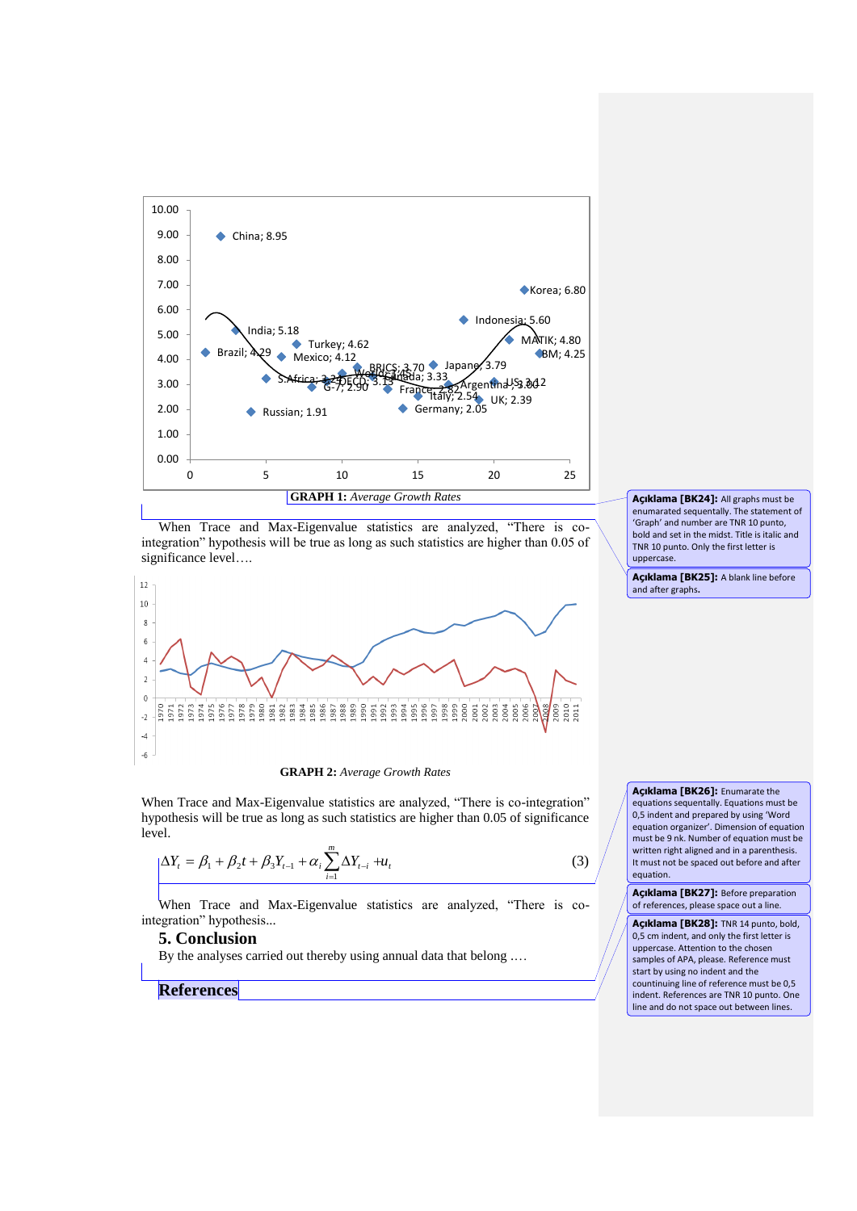

When Trace and Max-Eigenvalue statistics are analyzed, "There is cointegration" hypothesis will be true as long as such statistics are higher than 0.05 of significance level….



**GRAPH 2:** *Average Growth Rates*

When Trace and Max-Eigenvalue statistics are analyzed, "There is co-integration" hypothesis will be true as long as such statistics are higher than 0.05 of significance level.

$$
\Delta Y_{t} = \beta_{1} + \beta_{2}t + \beta_{3}Y_{t-1} + \alpha_{i}\sum_{i=1}^{m} \Delta Y_{t-i} + u_{t}
$$
\n(3)

When Trace and Max-Eigenvalue statistics are analyzed, "There is cointegration" hypothesis...

### **5. Conclusion**

By the analyses carried out thereby using annual data that belong ...

**References**

**Açıklama [BK24]:** All graphs must be enumarated sequentally. The statement of 'Graph' and number are TNR 10 punto, bold and set in the midst. Title is italic and TNR 10 punto. Only the first letter is uppercase.

**Açıklama [BK25]:** A blank line before and after graphs**.**

**Açıklama [BK26]:** Enumarate the equations sequentally. Equations must be 0,5 indent and prepared by using 'Word equation organizer'. Dimension of equation must be 9 nk. Number of equation must be written right aligned and in a parenthesis. It must not be spaced out before and after equation.

**Açıklama [BK27]:** Before preparation of references, please space out a line.

**Açıklama [BK28]:** TNR 14 punto, bold, 0,5 cm indent, and only the first letter is uppercase. Attention to the chosen samples of APA, please. Reference must start by using no indent and the countinuing line of reference must be 0,5 indent. References are TNR 10 punto. One line and do not space out between lines.